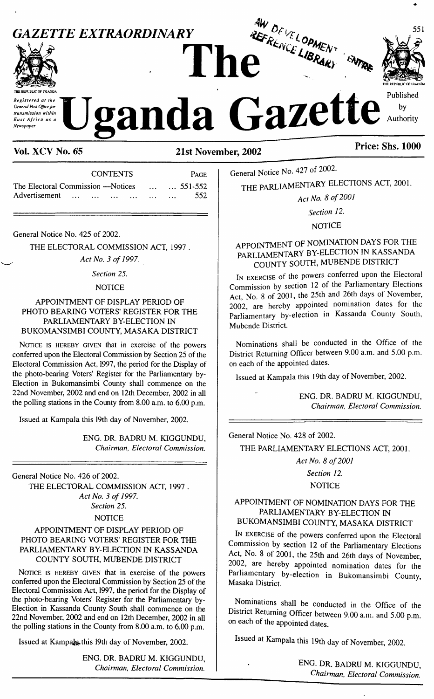

| <b>CONTENTS</b>                              | <b>PAGE</b> |
|----------------------------------------------|-------------|
| The Electoral Commission – Notices   551-552 |             |
| Advertisement                                | 552         |

General Notice No. 425 of 2002.

THE ELECTORAL COMMISSION ACT, 1997 .

*Act No. 3 of 1997.*

#### *Section 25.*

#### **NOTICE**

APPOINTMENT OF DISPLAY PERIOD OF PHOTO BEARING VOTERS' REGISTER FOR THE PARLIAMENTARY BY-ELECTION IN BUKOMANSIMBI COUNTY, MASAKA DISTRICT

NOTICE IS HEREBY GIVEN that in exercise of the powers conferred upon the Electoral Commission by Section 25 of the Electoral Commission Act, 1997, the period for the Display of the photo-bearing Voters' Register for the Parliamentary by-Election in Bukomansimbi County shall commence on the 22nd November, 2002 and end on 12th December, 2002 in all the polling stations in the County from 8.00 a.m. to 6.00 p.m.

Issued at Kampala this 19th day of November, 2002.

ENG. DR. BADRU M. KIGGUNDU, *Chairman, Electoral Commission.*

General Notice No. 426 of 2002. THE ELECTORAL COMMISSION ACT, 1997 . *Act No. 3 of 1997. Section 25.*

#### **NOTICE**

#### APPOINTMENT OF DISPLAY PERIOD OF PHOTO BEARING VOTERS' REGISTER FOR THE PARLIAMENTARY BY-ELECTION IN KASSANDA COUNTY SOUTH, MUBENDE DISTRICT

NOTICE IS HEREBY GIVEN that in exercise of the powers conferred upon the Electoral Commission by Section 25 of the Electoral Commission Act, 1997, the period for the Display of the photo-bearing Voters' Register for the Parliamentary by-Election in Kassanda County South shall commence on the 22nd November, 2002 and end on 12th December, 2002 in all the polling stations in the County from 8.00 a.m. to 6.00 p.m.

Issued at Kampala this 19th day of November, 2002.

ENG. DR. BADRU M. KIGGUNDU, *Chairman, Electoral Commission.*

General Notice No. 427 of 2002.

THE PARLIAMENTARY ELECTIONS ACT, 2001.

*Act No. 8 of<sup>2001</sup>*

*Section 12.*

NOTICE

# APPOINTMENT OF NOMINATION DAYS FOR THE PARLIAMENTARY BY-ELECTION IN KASSANDA COUNTY SOUTH, MUBENDE DISTRICT

I<sup>n</sup> exercise of the powers conferred upon the Electoral Commission by section 12 of the Parliamentary Elections Act, No. 8 of 2001, the 25th and 26th days of November, 2002, are hereby appointed nomination dates for the Parliamentary by-election in Kassanda County South, Mubende District.

Nominations shall be conducted in the Office of the District Returning Officer between 9.00 a.m. and 5.00 p.m. on each of the appointed dates.

Issued at Kampala this 19th day of November, 2002.

ENG. DR. BADRU M. KIGGUNDU, *Chairman, Electoral Commission.*

General Notice No. 428 of 2002. THE PARLIAMENTARY ELECTIONS ACT, 2001.

*Act No. 8 of2001 Section 12.*

NOTICE

### APPOINTMENT OF NOMINATION DAYS FOR THE PARLIAMENTARY BY-ELECTION IN BUKOMANSIMBI COUNTY, MASAKA DISTRICT

I<sup>n</sup> exercise of the powers conferred upon the Electoral Commission by section 12 of the Parliamentary Elections Act, No. 8 of 2001, the 25th and 26th days of November, 2002, are hereby appointed nomination dates for the Parliamentary by-election in Bukomansimbi County, Masaka District.

Nominations shall be conducted in the Office of the District Returning Officer between 9.00 a.m. and 5.00 p.m. on each of the appointed dates.

Issued at Kampala this 19th day of November, 2002.

ENG. DR. BADRU M. KIGGUNDU, *Chairman, Electoral Commission.*